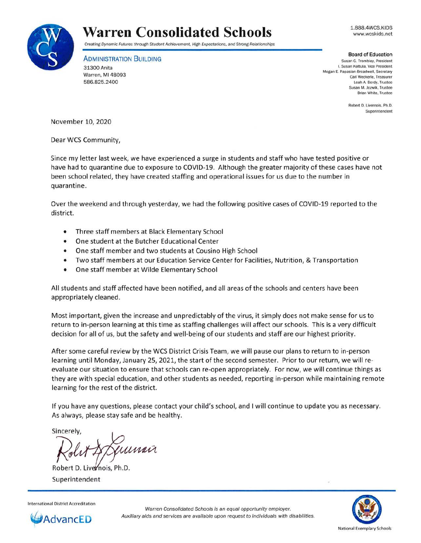

## **Warren Consolidated Schools**

Creating Dynamic Futures through Student Achievement, High Expectations, and Strong Relationships

**ADMINISTRATION BUILDING** 

31300 Anita Warren, **Ml** 48093 586.825.2400

1.888.4WCS.KIDS www.wcskids.net

## **Board of Education**

**Susan G. Trombley, President I. Susan Kattula, Vice President Megan E. Papasian-Broadwell. Secretary Carl Weckerle, Treasurer**  Leah A. Berdy. Trustee **Susan M. Jozwik, Trustee Brian White. Trustee** 

> **Robert D. Livernois. Ph.D. Superintendent**

November 10, 2020

Dear WCS Community,

Since my letter last week, we have experienced a surge in students and staff who have tested positive or have had to quarantine due to exposure to COVID-19. Although the greater majority of these cases have not been school related, they have created staffing and operational issues for us due to the number in quarantine.

Over the weekend and through yesterday, we had the following positive cases of COVID-19 reported to the district.

- Three staff members at Black Elementary School
- One student at the Butcher Educational Center
- One staff member and two students at Cousino High School
- Two staff members at our Education Service Center for Facilities, Nutrition, & Transportation
- One staff member at Wilde Elementary School

All students and staff affected have been notified, and all areas of the schools and centers have been appropriately cleaned.

Most important, given the increase and unpredictably of the virus, it simply does not make sense for us to return to in-person learning at this time as staffing challenges will affect our schools. This is a very difficult decision for all of us, but the safety and well-being of our students and staff are our highest priority.

After some careful review by the WCS District Crisis Team, we will pause our plans to return to in-person learning until Monday, January 25, 2021, the start of the second semester. Prior to our return, we will reevaluate our situation to ensure that schools can re-open appropriately. For now, we will continue things as they are with special education, and other students as needed, reporting in-person while maintaining remote learning for the rest of the district.

If you have any questions, please contact your child's school, and I will continue to update you as necessary. As always, please stay safe and be healthy.

Sincerely,

uunni  $\chi$ olis

Superintendent



Warren Consolidated Schools is an equal opportunity employer. Auxiliary aids and services are available upon request to individuals with disabilities.